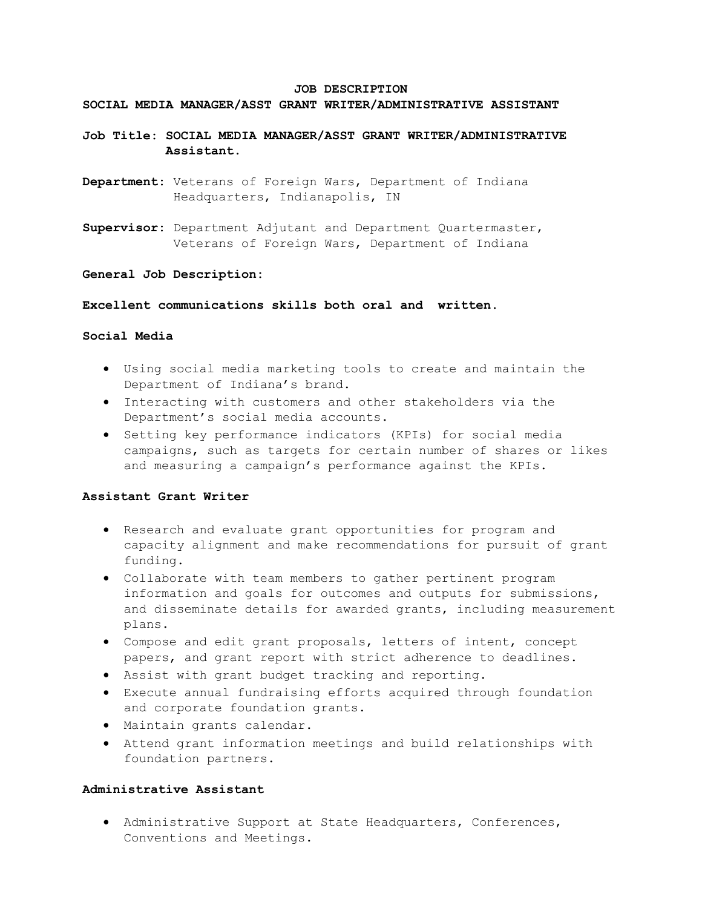#### **JOB DESCRIPTION**

### **SOCIAL MEDIA MANAGER/ASST GRANT WRITER/ADMINISTRATIVE ASSISTANT**

# **Job Title: SOCIAL MEDIA MANAGER/ASST GRANT WRITER/ADMINISTRATIVE Assistant.**

- **Department:** Veterans of Foreign Wars, Department of Indiana Headquarters, Indianapolis, IN
- **Supervisor:** Department Adjutant and Department Quartermaster, Veterans of Foreign Wars, Department of Indiana

#### **General Job Description:**

### **Excellent communications skills both oral and written.**

#### **Social Media**

- Using social media marketing tools to create and maintain the Department of Indiana's brand.
- Interacting with customers and other stakeholders via the Department's social media accounts.
- Setting key performance indicators (KPIs) for social media campaigns, such as targets for certain number of shares or likes and measuring a campaign's performance against the KPIs.

#### **Assistant Grant Writer**

- Research and evaluate grant opportunities for program and capacity alignment and make recommendations for pursuit of grant funding.
- Collaborate with team members to gather pertinent program information and goals for outcomes and outputs for submissions, and disseminate details for awarded grants, including measurement plans.
- Compose and edit grant proposals, letters of intent, concept papers, and grant report with strict adherence to deadlines.
- Assist with grant budget tracking and reporting.
- Execute annual fundraising efforts acquired through foundation and corporate foundation grants.
- Maintain grants calendar.
- Attend grant information meetings and build relationships with foundation partners.

## **Administrative Assistant**

• Administrative Support at State Headquarters, Conferences, Conventions and Meetings.